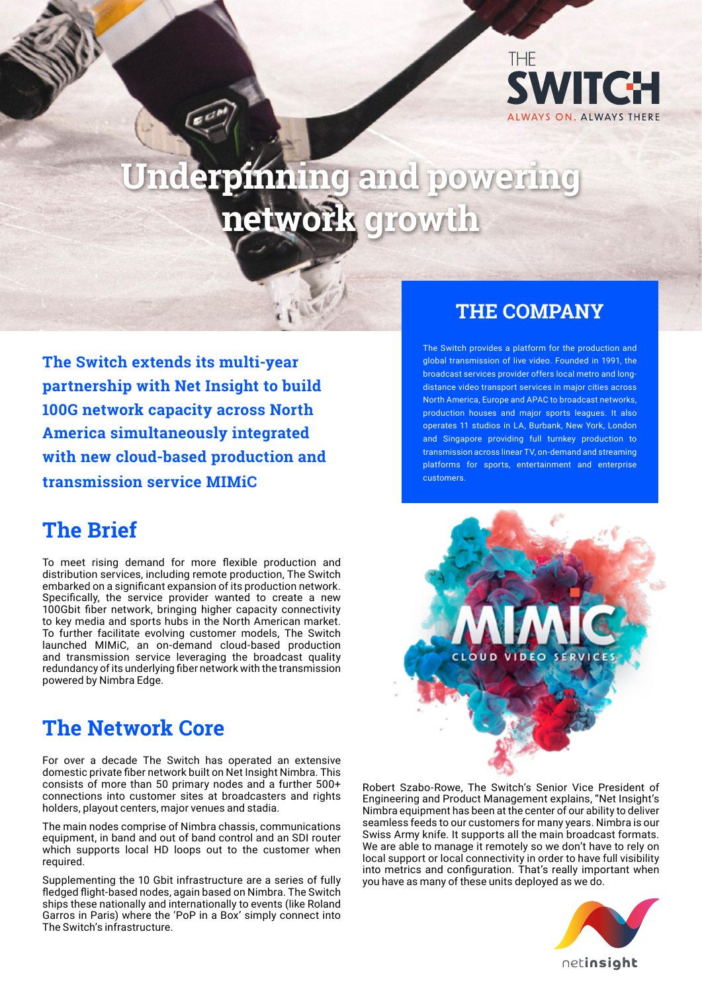

# **Underpinning and powering network growth**

**The Switch extends its multi-year partnership with Net Insight to build 100G network capacity across North America simultaneously integrated with new cloud-based production and transmission service MIMiC**

#### **The Brief**

To meet rising demand for more flexible production and distribution services, including remote production, The Switch embarked on a significant expansion of its production network. Specifically, the service provider wanted to create a new 100Gbit fiber network, bringing higher capacity connectivity to key media and sports hubs in the North American market. To further facilitate evolving customer models, The Switch launched MIMiC, an on-demand cloud-based production and transmission service leveraging the broadcast quality redundancy of its underlying fiber network with the transmission powered by Nimbra Edge.

#### **The Network Core**

For over a decade The Switch has operated an extensive domestic private fiber network built on Net Insight Nimbra. This consists of more than 50 primary nodes and a further 500+ connections into customer sites at broadcasters and rights holders, playout centers, major venues and stadia.

The main nodes comprise of Nimbra chassis, communications equipment, in band and out of band control and an SDI router which supports local HD loops out to the customer when required.

Supplementing the 10 Gbit infrastructure are a series of fully fledged flight-based nodes, again based on Nimbra. The Switch ships these nationally and internationally to events (like Roland Garros in Paris) where the 'PoP in a Box' simply connect into The Switch's infrastructure.

#### **THE COMPANY**

The Switch provides a platform for the production and global transmission of live video. Founded in 1991, the broadcast services provider offers local metro and longdistance video transport services in major cities across North America, Europe and APAC to broadcast networks, production houses and major sports leagues. It also operates 11 studios in LA, Burbank, New York, London and Singapore providing full turnkey production to transmission across linear TV, on-demand and streaming platforms for sports, entertainment and enterprise customers.



Robert Szabo-Rowe, The Switch's Senior Vice President of Engineering and Product Management explains, "Net Insight's Nimbra equipment has been at the center of our ability to deliver seamless feeds to our customers for many years. Nimbra is our Swiss Army knife. It supports all the main broadcast formats. We are able to manage it remotely so we don't have to rely on local support or local connectivity in order to have full visibility into metrics and configuration. That's really important when you have as many of these units deployed as we do.

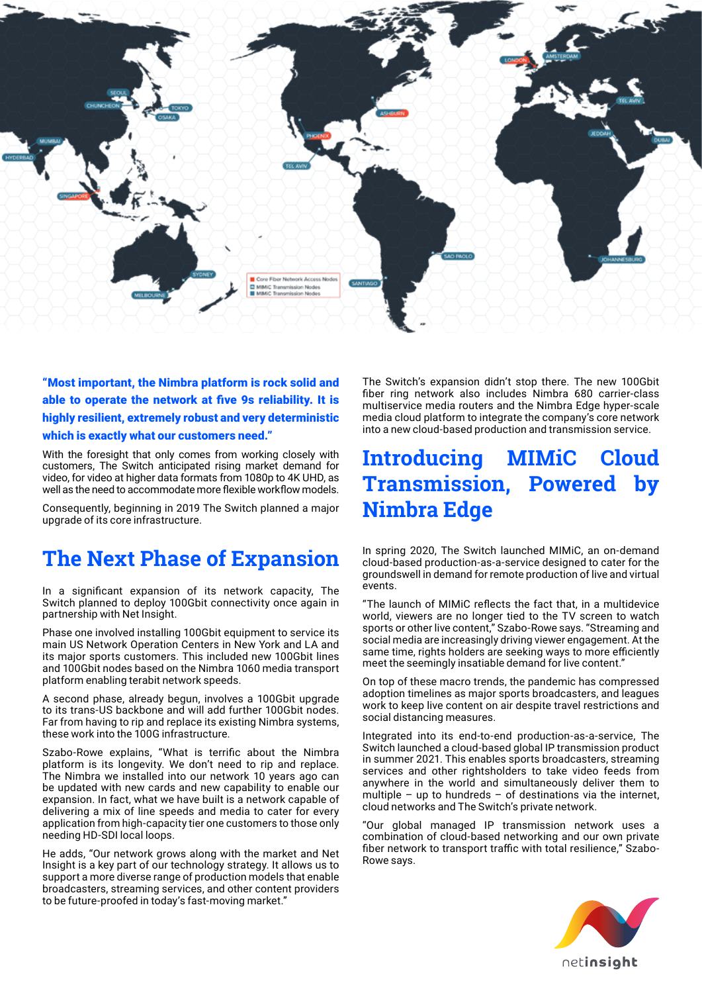

"Most important, the Nimbra platform is rock solid and able to operate the network at five 9s reliability. It is highly resilient, extremely robust and very deterministic which is exactly what our customers need."

With the foresight that only comes from working closely with customers, The Switch anticipated rising market demand for video, for video at higher data formats from 1080p to 4K UHD, as well as the need to accommodate more flexible workflow models.

Consequently, beginning in 2019 The Switch planned a major upgrade of its core infrastructure.

#### **The Next Phase of Expansion**

In a significant expansion of its network capacity, The Switch planned to deploy 100Gbit connectivity once again in partnership with Net Insight.

Phase one involved installing 100Gbit equipment to service its main US Network Operation Centers in New York and LA and its major sports customers. This included new 100Gbit lines and 100Gbit nodes based on the Nimbra 1060 media transport platform enabling terabit network speeds.

A second phase, already begun, involves a 100Gbit upgrade to its trans-US backbone and will add further 100Gbit nodes. Far from having to rip and replace its existing Nimbra systems, these work into the 100G infrastructure.

Szabo-Rowe explains, "What is terrific about the Nimbra platform is its longevity. We don't need to rip and replace. The Nimbra we installed into our network 10 years ago can be updated with new cards and new capability to enable our expansion. In fact, what we have built is a network capable of delivering a mix of line speeds and media to cater for every application from high-capacity tier one customers to those only needing HD-SDI local loops.

He adds, "Our network grows along with the market and Net Insight is a key part of our technology strategy. It allows us to support a more diverse range of production models that enable broadcasters, streaming services, and other content providers to be future-proofed in today's fast-moving market."

The Switch's expansion didn't stop there. The new 100Gbit fiber ring network also includes Nimbra 680 carrier-class multiservice media routers and the Nimbra Edge hyper-scale media cloud platform to integrate the company's core network into a new cloud-based production and transmission service.

#### **Introducing MIMiC Cloud Transmission, Powered by Nimbra Edge**

In spring 2020, The Switch launched MIMiC, an on-demand cloud-based production-as-a-service designed to cater for the groundswell in demand for remote production of live and virtual events.

"The launch of MIMiC reflects the fact that, in a multidevice world, viewers are no longer tied to the TV screen to watch sports or other live content," Szabo-Rowe says. "Streaming and social media are increasingly driving viewer engagement. At the same time, rights holders are seeking ways to more efficiently meet the seemingly insatiable demand for live content."

On top of these macro trends, the pandemic has compressed adoption timelines as major sports broadcasters, and leagues work to keep live content on air despite travel restrictions and social distancing measures.

Integrated into its end-to-end production-as-a-service, The Switch launched a cloud-based global IP transmission product in summer 2021. This enables sports broadcasters, streaming services and other rightsholders to take video feeds from anywhere in the world and simultaneously deliver them to multiple – up to hundreds – of destinations via the internet, cloud networks and The Switch's private network.

"Our global managed IP transmission network uses a combination of cloud-based networking and our own private fiber network to transport traffic with total resilience," Szabo-Rowe says.